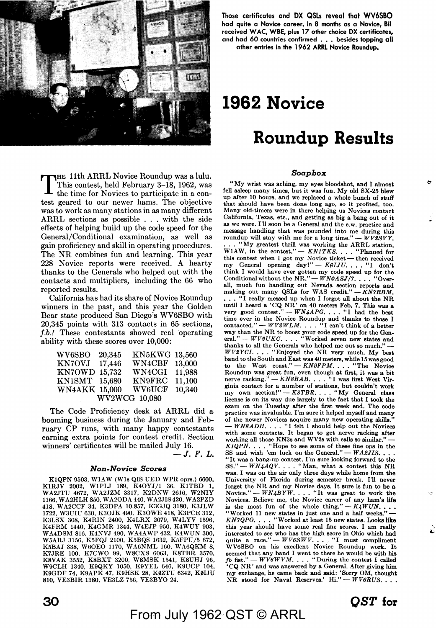

**Those certificates and DX QSLs reveal that WV6SBO**  had **quite a Novice career.** In **8 months as a Novice, Bil**  received WAC, **WBE,** plus 17 other choice DX certificates, and had 60 countries confirmed ... besides topping **all**  nther entries in the 1962 **ARRL** Novice Roundup.

# **1962 Novice**

# **Roundup Results**

# *Soapbox*

THE 11th ARRL Novice Roundup was a lulu. This contest, held February 3-18, 1962, was the time for Novices to participate in a contest geared to our newer hams. The objective was to work as many stations in as many different ARRL sections as possible . . . with the side effects of helping build up the code speed for the General/Conditional examination, as well as gain proficiency and skill in operating procedures. The NR combines fun and learning. This year 228 Novice reports were received. A hearty thanks to the Generals who helped out with the contacts and multipliers, including the 66 who reported results.

California has had its share of Novice Roundup winners in the past, and this year the Golden Bear state produced San Diego's WV6SBO with 20,345 points with 313 contacts in 65 sections, *f.b.!* These contestants showed real operating ability with these scores over 10,000:

| WV6SBO               | 20,345 | KN5KWG        | 13.560 |  |  |
|----------------------|--------|---------------|--------|--|--|
| <b>KN7OVJ</b>        | 17.446 | <b>WN4CBF</b> | 13,000 |  |  |
| <b>KN7OWD</b>        | 15.732 | WN4CGI        | 11,988 |  |  |
| $KN1\mathrm{SMT}$    | 15.680 | <b>KN9FRC</b> | 11,100 |  |  |
| <b>WN4AKK 15,000</b> |        | <b>WV6UCF</b> | 10,340 |  |  |
| WV2WCG 10,080        |        |               |        |  |  |

The Code Proficiency desk at ARRL did a booming business during the January and February CP runs, with many happy contestants earning extra points for contest credit. Section winners' certificates will be mailed July 16.

 $-J. F. L.$ 

# *Non-Novice Scores*

K1QPN 9503, W1AW (W1s QIS UED WPR oprs.) 6600, KlRJV 2002, WlPLJ 189, K40YJ/1 36, KITED 1, WA2JTU 4672, WA2JZM 3317, K2DNW 2616, W2NIY 1166, W A2HLH 850, W A20DA 440, W A2JIS 420, W A2PZD 418, WA2CCF 34, K3DPA 10,857, K3GJQ 3180, K3JLW 1722, W3UIU 630, K30JK 490, K30WE 418, K3PCE 312, K3LSX 308, K4RIN 2400, K4LRX 2079, W4LYV 1596, K4FRM 1440, K4GMR 1344, W4EJP 950, K4WUY 903, W A4DSM 816, K4NVJ 490, W A4A WP 432, K4 WUN 300, W5ARJ 3156, K5FQJ 2100, K5BQS 1632, K5FPU /5 672, K5BAJ 338, W6OEO 1170, WA6NML 160, WA6QKM 8,<br>K7JRE 100, K7CWO 99, W8CXS 6063, K8TBR 3570,<br>K8VAK 3552, K8BXT 3200, W8MSK 1541, K8UHJ 96,<br>W9CLH 1340, K9QKY 1050, K9YEL 646, K9UCP 104, K9GDF 74, K9APK 47, K9HSK 28, KØZTU 6342, KØLJU 810, VE3BIR 1380, VE3LZ 756, VE3BYO 24.

"My wrist was aching, my eyes bloodshot, and I almost fell asleep many times, but it was fun. My old SX-25 blew that should have been done long ago, so it profited, too. Many old-timers were in there helping us Novices contact California, Texas, etc., and getting as big a bang out of it as we were. I'll soon be a General and the c.w. practice and message handling that was pounded into me during this roundup will stay with me for a long time." — *WV2SVY*. . "My greatest thrill was working the ARRL station, WIAW, in the contest." - *KN1TKS*. . . . "Planned for this contest when I got my Novice ticket - then received my General opening day!" - *KØIJU*. . . . "I don't think I would have ever gotten my code speed up for the Conditional without the NR."  $-WN\emptyset ASJ/7.$ ... "Overall, much fun handling out Nevada section reports and making out many QSLs for WAS credit."-KN7RBM. ... "I really messed up when I forgot all about the NR until I heard a 'CQ NR' on 40 meters Feb. 7. This was a very good contest." —  $WN4APG$ .... "I had the best time ever in the Novice Roundup and thanks to those I contacted." - *WV2WLM*. . . . "I can't think of a better way than the NR to boost your code speed up for the General." --  $WV2UKC.$  . . . "Worked seven new states and thanks to all the Generals who helped me out so much." *WV2YCI...* "Enjoyed the NR very much. My best band to the South and East was 40 meters, while 15 was good to the West coast." - *KN9FPM.* . . . "The Novice Roundup was great fun, even though at first, it was a bit<br>nerve racking." — *KN8BAB*. . . . "I was first West Virginia contact for a number of stations, but couldn't work<br>my own section!" - *K8TBR*.... "My General class license is on its way due largely to the fact that I took the exam on the Tuesday after the first week end. The code practice was invaluable. I'm sure it helped myself and many of the newer Novices acquire many new operating skills."<br>- *WN8ADH.* . . . "I felt I should help out the Novices with some contacts. It began to get nerve racking after working all those KN3s and WV2s with calls so similar."  $KIQPN.$ ... "Hope to see some of these fine ops in the SS and wish 'em luck on the General." -  $WA2JIS.$ ... "It was a bang-up contest. I'm sure looking forward to the *SS."-WN4AQV ....* "Man, what a contest this NR was. I was on the air only three days while home from the University of Florida during semester break. I'll never forget the NR and my Novice days. It sure is fun to be a Novice." - *WN4BYW*. . . . "It was great to work the Novices. Believe me, the Novice career of any ham's life is the most fun of the whole thing." -- *K4WUN*....<br>"Worked 11 new states in just one and a half weeks." --*KN7QPO .* . , . "Worked at least 15 new states. Looks like this year should have some real fine scores. I am really interested to see who has the high score in Ohio which had quite a race."  $-WV6SWV$ . ... "I must compliment WV6SBO on his excellent Novice Roundup work. It seemed that any band I went to there he would be with his  $fb$  fist."  $-$  *WV6WVM*. . . . "During the contest I called • CQ NR' and was answered by a General. After giving him my exchange, he came back and said: 'Sorry OM, thought NR stood for Naval Reserves.' Hi." -- *WV6RUS*. . .

From July 1962 QST © ARRL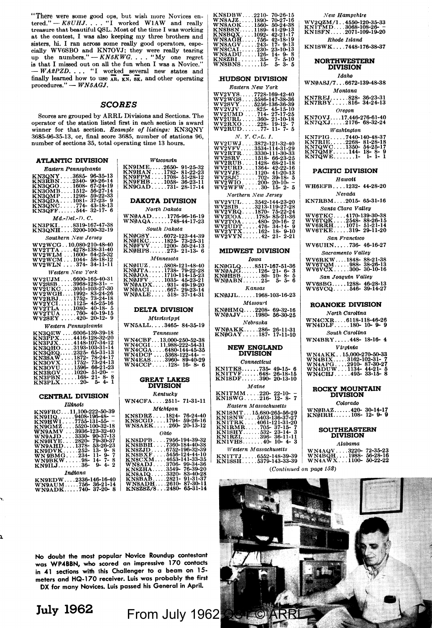**"There were some good ops, but wish more Novices en-**tered." - *KSUHJ ....* "I worked WlAW and really treasure that beautiful QSL. Most of the time I was working at the contest, I was also keeping my three brothers and sisters, hi. I ran across some really good operators, espe-<br>cially WV6SBO and KN7OVJ; they were really tearing<br>up the numbers." -- *KN5KWG*.... "My one regret is that I missed out on all the fun when I was a Novice." *-WA2PZD ..•.* "I worked several new states and finally learned how to use **AR, w,** si, and other operating procedures." - *WN5AGJ*.

# **SCORES**

Scores are grouped by ARRL Divisions and Sections. The operator of the station listed first in each section is award winner for that section. Example of listings: KN3QNY 3685-96-35-13, or, final score 3685, number of stations 96, **number of sections 35, total operating time 13 hours.** 

| <b>ATLANTIC DIVISION</b>                                                                 |                        |
|------------------------------------------------------------------------------------------|------------------------|
| Eastern Pennsylvania                                                                     | KN9<br>KN9             |
| KN3QNY3685- 96-35-1 <mark>3</mark><br>KN3RBN2340- 90-26-14                               | KN9                    |
|                                                                                          | KN9                    |
| KN3QGO1608- 67-24-19<br>KN3OMB1512- 56-27-14                                             | <b>KN9</b>             |
| KN3QMP1298- 59-22-33                                                                     |                        |
|                                                                                          | D.                     |
|                                                                                          |                        |
| RN3QDA : : : 1081-- 37-23-- 9<br>KN3QNC : : : 774-- 43-18-13<br>KN3QFF : 544-- 32-17-- 6 |                        |
| $Md.-Del.-D.C.$                                                                          | WN<br>WN¢              |
| KN3PKI8319-167-47-38                                                                     |                        |
| KN3QNH3200-100-32-19                                                                     |                        |
| Southern New Jersey                                                                      | <b>KNØ</b><br>KNØ      |
| WV2WCG10,080-210-48-40                                                                   | KNØ                    |
| WV2TTA  4278-138-31-40                                                                   | KNØ                    |
| $WV2WLM$ 1600- 64-25-32<br>$WV2WCM1044 - 58-18-12$                                       |                        |
| $WV2WLN \dots 374 - 34 - 11 - 11$                                                        | <b>KN9</b>             |
|                                                                                          | KNØ                    |
| Western New York                                                                         | <b>KNØ</b><br>KNØ      |
| WV2UJM6600-165-40-31                                                                     |                        |
| WV2SSB 3968-128-31- -<br>WV2UKC 3051-103-27-30                                           | WN(<br>WN <sub>0</sub> |
| WV2WGH1992-83-24-26                                                                      | WN <sub>0</sub>        |
| $WV2RBJ1752 - 73-24-18$                                                                  |                        |
| $WV2YCI1125-45-25-16$                                                                    |                        |
| wyžŤĽA  .1080-40-18-5<br>wy2TUA  760-40-19-15                                            | I                      |
| $WV2SET$ $420 - 20 - 12 - 9$                                                             |                        |
| Western Pennsulvania                                                                     | WN.                    |
| KN3QEW6006-139-39-18                                                                     |                        |
| $KN3$ PPX 4416-128-32-20                                                                 |                        |
| KN3PJX4148-107-34-12                                                                     | WN.<br>WN.             |
| KN3QHO3193-103-31-14                                                                     | WN.                    |
| KN3QEQ2325-65-31-13                                                                      | WN.                    |
| KN3SAW1872-78-24-17<br>KN3OVX1752-73-24-13                                               | WN                     |
|                                                                                          | <b>WN</b>              |
| KN30VU1596-66-21-23<br>KN3RGV1020-51-20-<br>KN3PBN168-21-8-8                             |                        |
|                                                                                          |                        |
| $KN3PLX20-5-4-1$                                                                         |                        |
| <b>CENTRAL DIVISION</b>                                                                  |                        |
|                                                                                          | WN                     |
| <b>Illinois</b>                                                                          |                        |
| KN9FRC11,100-222-50-39                                                                   | <b>KN</b>              |
| $KN9IIQ9408-196-48-$<br>KN9HWI7755-131-55- -                                             | KN                     |
|                                                                                          | WΝ                     |
| KN9GM25520-100-32-18<br>WN9AMV3936-123-32-40                                             |                        |

| KN9HWI7755-131-55- - | KN8CGD1794-59-26-16    |
|----------------------|------------------------|
| KN9GMZ5520-100-32-18 | WN8AEK260-20-13-12     |
| WN9AMV3936-123-32-40 |                        |
| WN9AJD3330-90-37-13  | Ohto                   |
| KN9HYE 2820-79-30-37 | KN8DPB7956-194-39-32   |
|                      |                        |
| WN9AHD1378-53-26-23  | KN8BBH7360-184-40-38   |
| KN9DVK252-13-9-8     | $KN8ZJD0752-196-32-39$ |
| WN 9BMG234-11-9-7    | KN8BXF5456-124-44-10   |
| $WN9BKW98-14-7-8$    | KN8CXM4653-141-33-35   |
|                      | WN8ADJ3706-99-34-36    |
| KN9ILJ36-9-4-2       |                        |
|                      | KN8ZHA3549-76-39-20    |
| Indiana              | KN8AIQ3320-83-40-28    |
|                      | KN8BAB2821- 91-31-37   |
| KN9EDW2336-146-16-40 |                        |
| WN9AUM756-36-21-14   | WN8ADH2610-87-30-11    |
|                      | KN8ZSZ/82480-65-31-14  |
| WN9ADK740-37-20-8    |                        |

| Wisconsin                                                                                                                                                                                                                                                                                                                                                                                         |
|---------------------------------------------------------------------------------------------------------------------------------------------------------------------------------------------------------------------------------------------------------------------------------------------------------------------------------------------------------------------------------------------------|
| KN9IME2650- 91-25-32<br>KN9HAN1782- 81-22-23<br>KN9FPM1708- 51-28-12<br>KN9GAD731- 28-17-14<br>KN9GAD731- 28-17-14                                                                                                                                                                                                                                                                                |
| <b>DAKOTA DIVISION</b>                                                                                                                                                                                                                                                                                                                                                                            |
| North Dakota                                                                                                                                                                                                                                                                                                                                                                                      |
| WNØAAD1776-96-16-19<br>WNØAQA748-44-17-23                                                                                                                                                                                                                                                                                                                                                         |
| South Dakota                                                                                                                                                                                                                                                                                                                                                                                      |
| KNØGSY6072-123-44-39<br>KNØIKC1825- 73-25-31<br>KNØFVV1200- 50-24-13<br>KNØHPS273- 21-13- 6                                                                                                                                                                                                                                                                                                       |
| $M$ innesota                                                                                                                                                                                                                                                                                                                                                                                      |
| KNØIUZ5808-121-48-40<br>KNØJTA1738-79-22-28<br>KNØJOA1710-114-15-23<br>KNØJFV1931-45-23-21<br>WNØAOI867-29-23-14<br>WNØAOI667-29-23-14<br>WNØAOI667-29-23-14                                                                                                                                                                                                                                      |
| DELTA DIVISION                                                                                                                                                                                                                                                                                                                                                                                    |
| <b>Mississippi</b>                                                                                                                                                                                                                                                                                                                                                                                |
| WN5ALL3465-84-35-19                                                                                                                                                                                                                                                                                                                                                                               |
| Tennessee                                                                                                                                                                                                                                                                                                                                                                                         |
| $\begin{array}{c} \text{WM4CBF}\dots 13,000\text{-}250\text{-}52\text{-}38\\ \text{WN4CG1}\dots 1,988\text{-}22\text{-}54\text{-}31\\ \text{WN4CGA}\dots 6480\text{-}144\text{-}45\text{-}35\\ \text{WN4DCB}\dots 5368\text{-}12\text{-}44\text{-} \text{-}\\ \text{WN4EAS}\dots 3960\text{-}89\text{-}40\text{-}29\\ \text{WN4EAG}\dots 3960\text{-}89\text{-}49\text{-}29\\ \text{WN4CGP}\dots$ |
| <b>GREAT LAKES</b><br><b>DIVISION</b>                                                                                                                                                                                                                                                                                                                                                             |
| <b>Kentucky</b>                                                                                                                                                                                                                                                                                                                                                                                   |
| WN4CFA2511-71-31-11                                                                                                                                                                                                                                                                                                                                                                               |
| <b>M</b> tchigan                                                                                                                                                                                                                                                                                                                                                                                  |
| KN8DRZ1824-76-24-40<br>KN8CGD1794-59-26-16<br>WN8AEK260-20-13-12                                                                                                                                                                                                                                                                                                                                  |
| Ohio                                                                                                                                                                                                                                                                                                                                                                                              |
| KN8DPB. 7956-194-39-32<br>KN8BBH. 7360-184-40-38<br>KN8ZJD. 6752-196-32-39<br>KN8BXF. 5456-124-44-10<br>KN8CXM.  4653-141-33-35<br>WN8ADJ.  3549-76-39-20<br>KN82XH.  3549-76-39-20<br>KN82HA 3549-76-39-20<br>KN82HA 3549-76                                                                                                                                                                     |

| $\begin{array}{l} 70\hbox{-} 26\hbox{-} 15 \\ 70\hbox{-} 27\hbox{-} 16 \\ 50\hbox{-} 24\hbox{-} 38 \\ 41\hbox{-} 29\hbox{-} 13 \\ 42\hbox{-} 21\hbox{-} 17 \\ 42\hbox{-} 18\hbox{-} 19 \\ 17\hbox{-} 9\hbox{-} 13 \\ 23\hbox{-} 10\hbox{-} 13 \\ 24\hbox{-} 1\hbox{-} 18 \\ 14\hbox{-} 9\hbox{-} 12 \\ 14\hbox{-} 9\hbox{-} $<br>$\begin{array}{r} 2210 - \\ -1890 - \\ -1560 - \\ -1189 - \\ -192 - \\ -243 - \\ -230 - \\ -35 - \\ -15 \end{array}$                                              | WV20<br>KNI<br>KNIS                  |
|----------------------------------------------------------------------------------------------------------------------------------------------------------------------------------------------------------------------------------------------------------------------------------------------------------------------------------------------------------------------------------------------------------------------------------------------------------------------------------------------------|--------------------------------------|
|                                                                                                                                                                                                                                                                                                                                                                                                                                                                                                    |                                      |
|                                                                                                                                                                                                                                                                                                                                                                                                                                                                                                    | <b>KN18</b>                          |
| $\begin{matrix} 14 \\ 7 \\ 5 \end{matrix}$<br>-1Ō<br>5<br>3.<br>.15<br>5                                                                                                                                                                                                                                                                                                                                                                                                                           | N                                    |
| <b>HUDSON DIVISION</b><br>Eastern New York                                                                                                                                                                                                                                                                                                                                                                                                                                                         | WN0.                                 |
| wy2y<br>wy2w                                                                                                                                                                                                                                                                                                                                                                                                                                                                                       | KN71<br>KN71                         |
|                                                                                                                                                                                                                                                                                                                                                                                                                                                                                                    |                                      |
|                                                                                                                                                                                                                                                                                                                                                                                                                                                                                                    | KN70<br>KN70                         |
| N.<br>$Y. C-L. I.$                                                                                                                                                                                                                                                                                                                                                                                                                                                                                 | KN71<br>KN71<br>KN70<br>KN70<br>KN70 |
|                                                                                                                                                                                                                                                                                                                                                                                                                                                                                                    |                                      |
|                                                                                                                                                                                                                                                                                                                                                                                                                                                                                                    | Pl                                   |
|                                                                                                                                                                                                                                                                                                                                                                                                                                                                                                    | $_{\rm WH6}$                         |
| Northern<br>New Jersey                                                                                                                                                                                                                                                                                                                                                                                                                                                                             | KN7                                  |
|                                                                                                                                                                                                                                                                                                                                                                                                                                                                                                    |                                      |
| ${\small \begin{array}{l} \tt WV2VUL \end{array}} {\small \begin{array}{l} \tt W2VUL \end{array}} {\small \begin{array}{l} \tt 3842-144-23-20 \end{array}} \ {\small \begin{array}{l} \tt WV2YRB \end{array}} {\small \begin{array}{l} \tt W31-119-27-28 \end{array}} \ {\small \begin{array}{l} \tt WV2VRA \end{array}} {\small \begin{array}{l} \tt WV2VRA \end{array}} {\small \begin{array}{l} \tt WV2TOA \end{array}} {\small \begin{array}{l} \tt 176-34-14-9 \end{array}} \ {\small \begin$ | WV6<br>WV6<br>WV6<br>WV6             |
|                                                                                                                                                                                                                                                                                                                                                                                                                                                                                                    | WV6                                  |
| <b>MIDWEST DIVISION</b><br>Iowa                                                                                                                                                                                                                                                                                                                                                                                                                                                                    |                                      |
| KNØGLQ8517-167-51-36<br>WNØAJG126-21-6-3<br>KNØHSB80-10-8-5<br>WNØABN25-5-5-6                                                                                                                                                                                                                                                                                                                                                                                                                      | W V6<br>W V6<br>W V6                 |
| <b>Kansas</b>                                                                                                                                                                                                                                                                                                                                                                                                                                                                                      | wy <sub>6</sub><br>wy6               |
| KNØJJL1968-103-16-23                                                                                                                                                                                                                                                                                                                                                                                                                                                                               |                                      |
| Missouri                                                                                                                                                                                                                                                                                                                                                                                                                                                                                           | RC                                   |
| KNØHMQ2208-<br>WNØAJV1980-<br>69-32-16<br>56-30-25                                                                                                                                                                                                                                                                                                                                                                                                                                                 |                                      |
| Nebraska<br>26-11-31<br>17-11-10                                                                                                                                                                                                                                                                                                                                                                                                                                                                   | WN4<br>WN4                           |
| WNØAKK286-<br>KNØGAY187-<br><b>NEW ENGLAND</b>                                                                                                                                                                                                                                                                                                                                                                                                                                                     | W N4                                 |
| <b>DIVISION</b>                                                                                                                                                                                                                                                                                                                                                                                                                                                                                    |                                      |
| Connecticut<br>$\begin{array}{c} 49 - 15 - 6 \\ 26 - 18 - 15 \\ 20 - 13 - 10 \end{array}$                                                                                                                                                                                                                                                                                                                                                                                                          | WN4<br>WN4<br>WN4<br>WN4<br>WN4      |
| <b>KNITKS735-<br/>KNITVF648-<br/>KNISDF390-</b><br>Maine<br>NITMM 220-<br>NISWG 216-<br>$22-10-7$<br>12-8-7<br>K                                                                                                                                                                                                                                                                                                                                                                                   | R٥                                   |
| <b>Eastern Massachusetts</b>                                                                                                                                                                                                                                                                                                                                                                                                                                                                       |                                      |
|                                                                                                                                                                                                                                                                                                                                                                                                                                                                                                    | WN<br>KNj                            |
|                                                                                                                                                                                                                                                                                                                                                                                                                                                                                                    |                                      |
| EXAMPLE 15,680-265-56-29<br>KNISNW 5403-136-37-27<br>KNITRK 4061-121-31-20<br>KNIRMR 5403-27-15-7<br>KNIRMR 532-23-14-3<br>KNIRH 532-23-14-3<br>KNIRH 539-36-11-11<br>KNIVHS 40-10-4-3<br>Western Massachusetts                                                                                                                                                                                                                                                                                    | WN<br>WN<br>WN                       |
| KNITTJ6552-148-39-39<br>KNISSH5379-143-33-39<br>(Continued on pag                                                                                                                                                                                                                                                                                                                                                                                                                                  |                                      |

**NORTHWESTERN DIVISION**  Idaho WN0ASJ/7 ... 6672-139-48-38 *111.ontana*  KN7REJ ...... 828· 36-23-31 KN7RBY ..... 816- 34-24-13 *Oreoon*  KN70VJ .... 17.446-276-61-40 KN7QXJ ..... 2176- 68-32·24 *-washtngton*  KN7PIG . . . . . 7440-140-48-37<br>KN7RIE . . . . . 2268- 81-28-18<br>KN7QWC . . . . 1350- 54-25-17<br>KN7QWE . . . . . . . 1-- 1- 1- 1-<br>KN7QWE . . . . . . . . 1-**PACIFIC DIVISION**  Hawatt WH6EFB....1232-44-28-20 Nevada KN7RBM .... 2015- 65-31-16 Santa Clara Valley WV6TKC . . . 4170-139-30-38<br>WV6TQK . . . .2548- 88-26-15<br>WV6RRH . . . . 1071- 51-21-14<br>WV6TKE . . . . .319- 29-11-20 *San Francisco*  WV6UHN....736-46-16-27 *Sacramento Valley*  WV6RKW .... 1848- 88-21-38 WV6TQM ..... 988· 38-26-13 WV6VCX ..... 300- 30-10-16 *San J oaqu1.n Valley*  WV6SBG ..... 1288· 46-28-13 WV6VCQ ..... 546- 39-14-27

*New Hampshire*<br>**WY2QZM/1..4550-120-35-33**<br>**KNITMD....3068-108-26-**WV2QZM/l .. 45S0-120·35-33 KNlTMD .... 3068-108-26- - KNISFN ..... 2071-109-19-20 Rhode Island KNISWK .... 7448-176-38-37

# **ROANOKE DIVISION**

| ROANOKE DIVISION                              |
|-----------------------------------------------|
| North Carolina                                |
| WN4CXR 6118-118-46-26<br>$WN4DLF$ 180-10-9-9  |
| South Carolina                                |
| WN4BRY448-18-16-4                             |
| Viroinia                                      |
| WN4AKK15,000-270-50-33<br>WN4BIX3162-102-31-7 |
| WN4APG2910-87-30-27                           |
| WN4DUW1134-44-21-5<br>WN4CHJ495-33-15-8       |

# **ROCKY MOUNTAIN DIVISION**

Colorado

WNØBAZ......420-30-14-17<br>KNØIRH......108-12-9-9

# **SOUTHEASTERN DIVISION Alabama**

|                                                                       | ліаоата |  |
|-----------------------------------------------------------------------|---------|--|
| WN4AQV3220- 72-35-23<br>WN4BQH1988- 56-28-16<br>$WN4AWX1100-50-22-22$ |         |  |
| nggo $152$                                                            |         |  |

*(Continued on* page *152)* 

![](_page_1_Picture_17.jpeg)

**No doubt the most popular Novice Roundup contestant was WP-4BBN, who scored an impressive 170 contacts**  in 41 sections with this Challenger to a beam on 15**meters and HQ-170 receiver. Luis was probably the first DX for many Novices. Luis passed his General in April.** 

**July 1962**